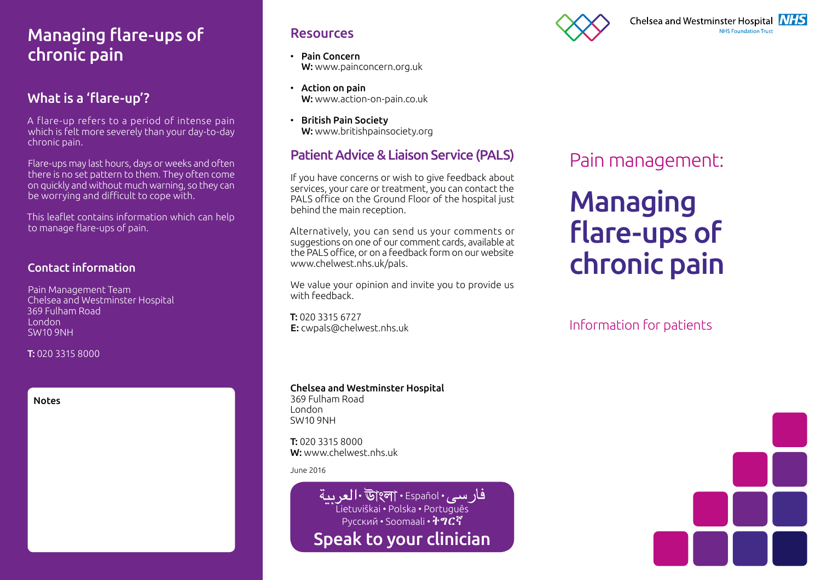## Managing flare-ups of chronic pain

#### What is a 'flare-up'?

A flare-up refers to a period of intense pain which is felt more severely than your day-to-day chronic pain.

Flare-ups may last hours, days or weeks and often there is no set pattern to them. They often come on quickly and without much warning, so they can be worrying and difficult to cope with.

This leaflet contains information which can help to manage flare-ups of pain.

#### Contact information

Pain Management Team Chelsea and Westminster Hospital 369 Fulham Road London SW10 9NH

T: 020 3315 8000

#### Notes

#### Resources

- Pain Concern W: www.painconcern.org.uk
- Action on pain W: www.action-on-pain.co.uk
- British Pain Society W: www.britishpainsociety.org

#### Patient Advice & Liaison Service (PALS)

If you have concerns or wish to give feedback about services, your care or treatment, you can contact the PALS office on the Ground Floor of the hospital just behind the main reception.

Alternatively, you can send us your comments or suggestions on one of our comment cards, available at the PALS office, or on a feedback form on our website www.chelwest.nhs.uk/pals.

We value your opinion and invite you to provide us with feedback.

T: 020 3315 6727 E: cwpals@chelwest.nhs.uk



# Pain management:

# Managing flare-ups of chronic pain

Information for patients

#### Chelsea and Westminster Hospital 369 Fulham Road

London SW10 9NH

T: 020 3315 8000 W: www.chelwest.nhs.uk

June 2016

فار سي. Il • উ|ংলা • Español • العر سة Lietuviškai • Polska • Português Русский • Soomaali • 7 0 С Speak to your clinician